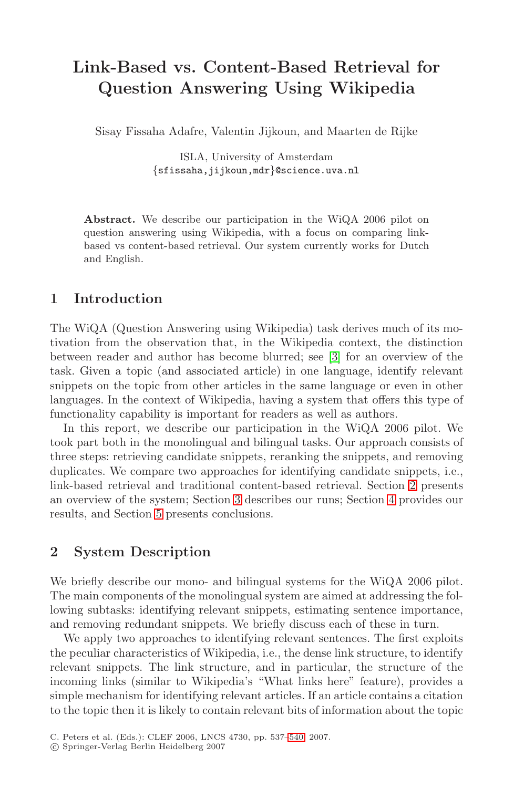# **Link-Based vs. Content-Based Retrieval for Question Answering Using Wikipedia**

Sisay Fissaha Adafre, Valentin Jijkoun, and Maarten de Rijke

ISLA, University of Amsterdam {sfissaha,jijkoun,mdr}@science.uva.nl

**Abstract.** We describe our participation in the WiQA 2006 pilot on question answering using Wikipedia, with a focus on comparing linkbased vs content-based retriev[al.](#page-3-0) Our system currently works for Dutch and English.

#### **1 Introduction**

The WiQA (Question Answering using Wikipedia) task derives much of its motivation from the observation that, in the Wikipedia context, the distinction between reader and author has become blurred; see [3] for an overview of the task. Given a topic (and associated article) in o[ne](#page-0-0) language, identify relevant snippets on the [to](#page-1-0)pic from other articles in t[he](#page-2-0) same language or even in other l[an](#page-3-1)guages. In the context of Wikipedia, having a system that offers this type of functionality capability is important for readers as well as authors.

<span id="page-0-0"></span>In this report, we describe our participation in the WiQA 2006 pilot. We took part both in the monolingual and bilingual tasks. Our approach consists of three steps: retrieving candidate snippets, reranking the snippets, and removing duplicates. We compare two approaches for identifying candidate snippets, i.e., link-based retrieval and traditional content-based retrieval. Section 2 presents an overview of the system; Section 3 describes our runs; Section 4 provides our results, and Section 5 presents conclusions.

## **2 System Description**

We briefly describe our mono- and bilingual systems for the WiQA 2006 pilot. The main components of the monolingual system are aimed at addressing the following subtasks: identifying relevant snippets, estimating sentence importance, and removing redundant s[nipp](#page-3-2)ets. We briefly discuss each of these in turn.

We apply two approaches to identifying relevant sentences. The first exploits the peculiar characteristics of Wikipedia, i.e., the dense link structure, to identify relevant snippets. The link structure, and in particular, the structure of the incoming links (similar to Wikipedia's "What links here" feature), provides a simple mechanism for identifying relevant articles. If an article contains a citation to the topic then it is likely to contain relevant bits of information about the topic

C. Peters et al. (Eds.): CLEF 2006, LNCS 4730, pp. 537–540, 2007.

<sup>-</sup>c Springer-Verlag Berlin Heidelberg 2007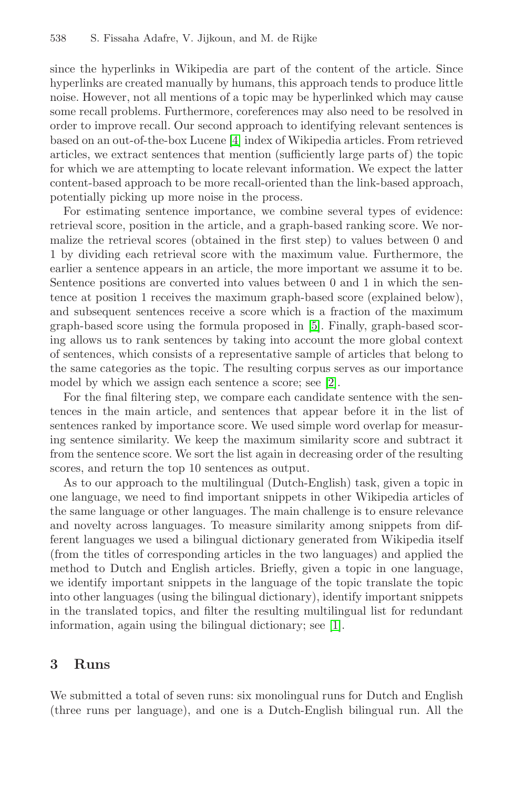#### 538 S. Fissa[ha](#page-3-3) Adafre, V. Jijkoun, and M. de Rijke

since the hyperlinks in Wikipedia are part of the content of the article. Since hyperlinks are created manually by humans, this approach tends to produce little noise. However, not all mentions of a topic may be hyperlinked which may cause some recall problems. Furthermore, coreferences may also need to be resolved in order to improve recall. Our second approach to identifying relevant sentences is based on an out-of-the-box Lucene [4] index of Wikipedia articles. From retrieved articles, we extract sentences that mention (sufficiently large parts of) the topic for which we are attempting to locate relevant information. We expect the latter content-based approach to be more recall-oriented than the link-based approach, potentially picking up more noise in the process.

For estimating sentence im[por](#page-3-4)tance, we combine several types of evidence: retrieval score, position in the article, and a graph-based ranking score. We normalize the retrieval scores (obtained in the first step) to values between 0 and 1 by dividing each retrieval score with the maximum value. Furthermore, the earlier a sentence appears in an ar[tic](#page-3-5)le, the more important we assume it to be. Sentence positions are converted into values between 0 and 1 in which the sentence at position 1 receives the maximum graph-based score (explained below), and subsequent sentences receive a score which is a fraction of the maximum graph-based score using the formula proposed in [5]. Finally, graph-based scoring allows us to rank sentences by taking into account the more global context of sentences, which consists of a representative sample of articles that belong to the same categories as the topic. The resulting corpus serves as our importance model by which we assign each sentence a score; see [2].

For the final filtering step, we compare each candidate sentence with the sentences in the main article, and sentences that appear before it in the list of sentences ranked by importance score. We used simple word overlap for measuring sentence similarity. We keep the maximum similarity score and subtract it from the sentence score. We sort the list again in decreasing order of the resulting scores, and return the top 10 sentences as output.

<span id="page-1-0"></span>As to our approach to the multilingual (Dutch-English) task, given a topic in one language, we need to find important snippets in other Wikipedia articles of the same language or other langua[ges](#page-3-6). The main challenge is to ensure relevance and novelty across languages. To measure similarity among snippets from different languages we used a bilingual dictionary generated from Wikipedia itself (from the titles of corresponding articles in the two languages) and applied the method to Dutch and English articles. Briefly, given a topic in one language, we identify important snippets in the language of the topic translate the topic into other languages (using the bilingual dictionary), identify important snippets in the translated topics, and filter the resulting multilingual list for redundant information, again using the bilingual dictionary; see [1].

### **3 Runs**

We submitted a total of seven runs: six monolingual runs for Dutch and English (three runs per language), and one is a Dutch-English bilingual run. All the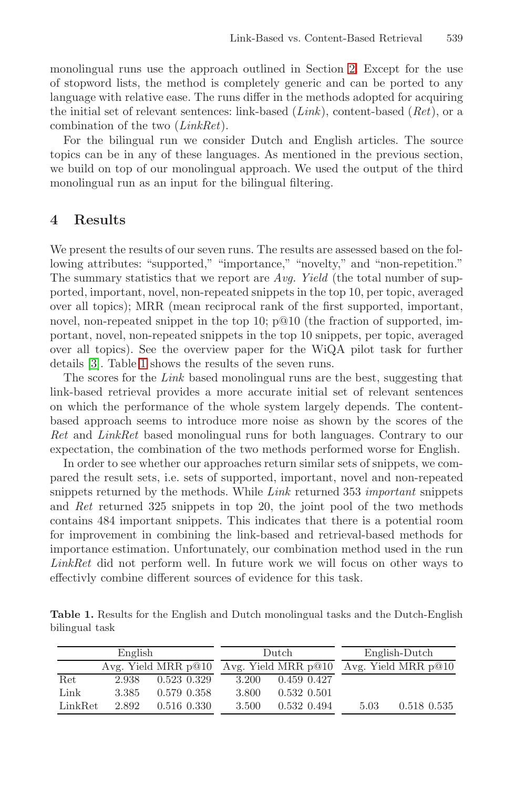<span id="page-2-0"></span>monolingual runs use the approach outlined in Section 2. Except for the use of stopword lists, the method is completely generic and can be ported to any language with relative ease. The runs differ in the methods adopted for acquiring the initial set of relevant sentences: link-based  $(Link)$ , content-based  $(Ret)$ , or a combination of the two (LinkRet).

For the bilingual run we consider Dutch and English articles. The source topics can be in any of these languages. As mentioned in the previous section, we build on top of our monolingual approach. We used the output of the third monolingual run as an input for the bilingual filtering.

#### **4 Results**

We present the results of our seven runs. The results are assessed based on the following attributes: "supported," "importance," "novelty," and "non-repetition." The summary statistics that we report are  $Avg.$  Yield (the total number of supported, important, novel, non-repeated snippets in the top 10, per topic, averaged over all topics); MRR (mean reciprocal rank of the first supported, important, novel, non-repeated snippet in the top 10; p@10 (the fraction of supported, important, novel, non-repeated snippets in the top 10 snippets, per topic, averaged over all topics). See the overview paper for the WiQA pilot task for further details [3]. Table 1 shows the results of the seven runs.

The scores for the Link based monolingual runs are the best, suggesting that link-based retrieval provides a more accurate initial set of relevant sentences on which the performance of the whole system largely depends. The contentbased approach seems to introduce more noise as shown by the scores of the Ret and LinkRet based monolingual runs for both languages. Contrary to our expectation, the combination of the two methods performed worse for English.

In order to see whether our approaches return similar sets of snippets, we compared the result sets, i.e. sets of supported, important, novel and non-repeated snippets returned by the methods. While Link returned 353 *important* snippets and Ret returned 325 snippets in top 20, the joint pool of the two methods contains 484 important snippets. This indicates that there is a potential room for improvement in combining the link-based and retrieval-based methods for importance estimation. Unfortunately, our combination method used in the run LinkRet did not perform well. In future work we will focus on other ways to effectivly combine different sources of evidence for this task.

**Table 1.** Results for the English and Dutch monolingual tasks and the Dutch-English bilingual task

|         | English |             |       | $\rm{Dutch}$                                                      |      | English-Dutch   |  |
|---------|---------|-------------|-------|-------------------------------------------------------------------|------|-----------------|--|
|         |         |             |       | Avg. Yield MRR $p@10$ Avg. Yield MRR $p@10$ Avg. Yield MRR $p@10$ |      |                 |  |
| Ret     | 2.938   | 0.523 0.329 | 3.200 | 0.459 0.427                                                       |      |                 |  |
| Link    | 3.385   | 0.579 0.358 | 3.800 | 0.532 0.501                                                       |      |                 |  |
| LinkRet | 2.892   | 0.516 0.330 | 3.500 | 0.532 0.494                                                       | 5.03 | $0.518$ $0.535$ |  |